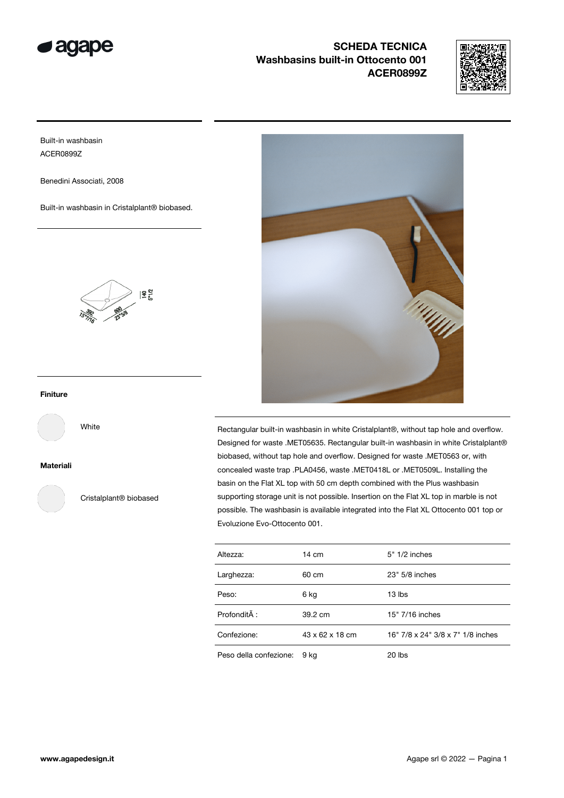



Built-in washbasin ACER0899Z

Benedini Associati, 2008

Built-in washbasin in Cristalplant® biobased.



# Finiture

White

Materiali

Cristalplant® biobased



Rectangular built-in washbasin in white Cristalplant®, without tap hole and overflow. Designed for waste .MET05635. Rectangular built-in washbasin in white Cristalplant® biobased, without tap hole and overflow. Designed for waste .MET0563 or, with concealed waste trap .PLA0456, waste .MET0418L or .MET0509L. Installing the basin on the Flat XL top with 50 cm depth combined with the Plus washbasin supporting storage unit is not possible. Insertion on the Flat XL top in marble is not possible. The washbasin is available integrated into the Flat XL Ottocento 001 top or Evoluzione Evo-Ottocento 001.

| Altezza:               | $14 \text{ cm}$ | $5" 1/2$ inches                   |
|------------------------|-----------------|-----------------------------------|
| Larghezza:             | 60 cm           | 23" 5/8 inches                    |
| Peso:                  | 6 kg            | 13 lbs                            |
| Profondità :           | 39.2 cm         | 15" 7/16 inches                   |
| Confezione:            | 43 x 62 x 18 cm | 16" 7/8 x 24" 3/8 x 7" 1/8 inches |
| Peso della confezione: | 9 kg            | 20 lbs                            |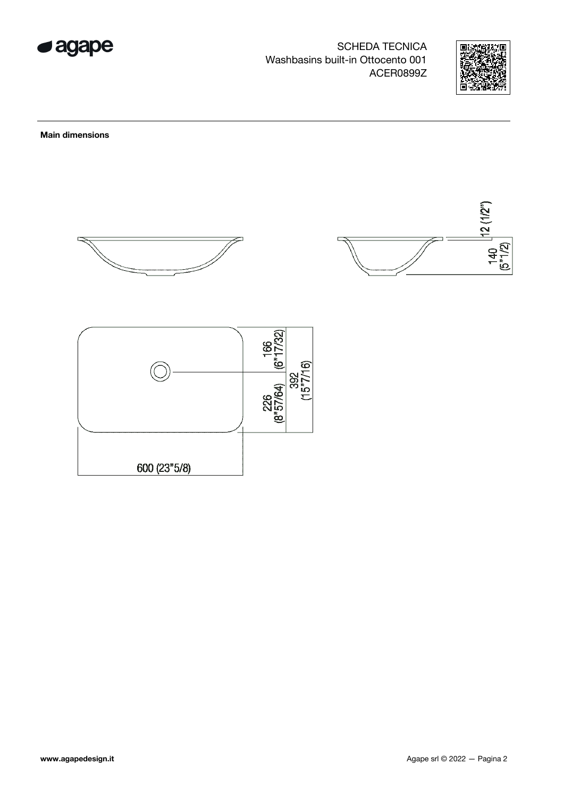



**Main dimensions** 





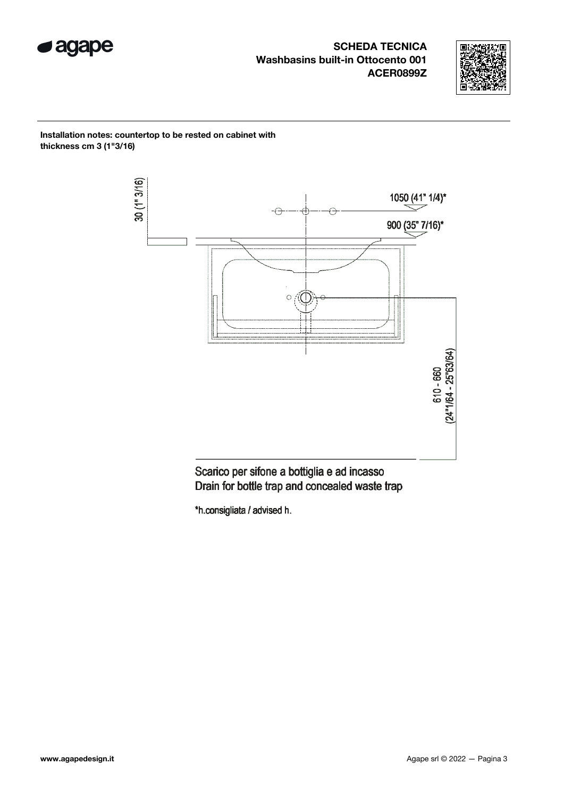



Installation notes: countertop to be rested on cabinet with thickness cm 3 (1"3/16)



Scarico per sifone a bottiglia e ad incasso Drain for bottle trap and concealed waste trap

\*h.consigliata / advised h.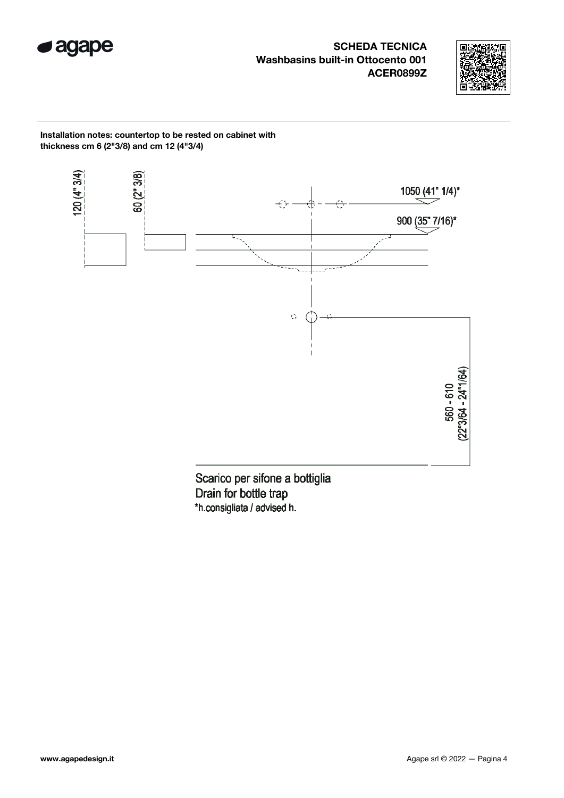



Installation notes: countertop to be rested on cabinet with thickness cm 6 (2"3/8) and cm 12 (4"3/4)



Drain for bottle trap \*h.consigliata / advised h.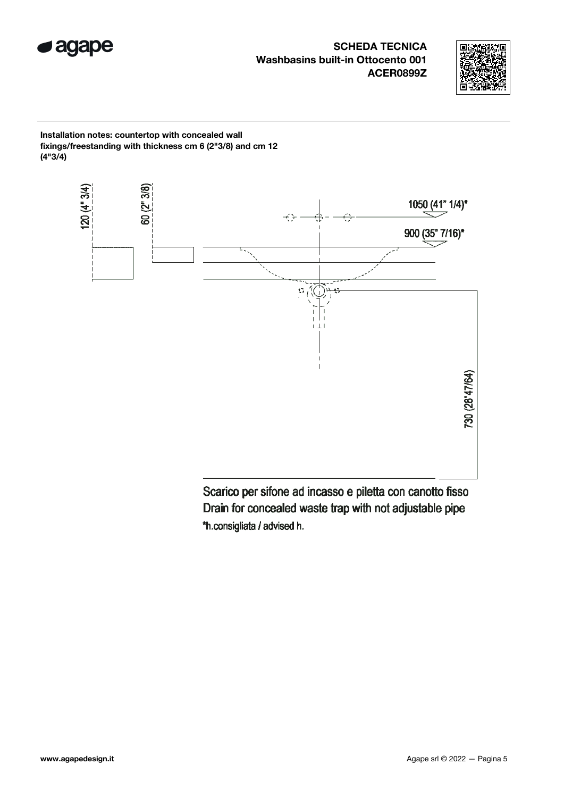



Installation notes: countertop with concealed wall fixings/freestanding with thickness cm 6 (2"3/8) and cm 12 (4"3/4)

![](_page_4_Figure_4.jpeg)

Scarico per sifone ad incasso e piletta con canotto fisso Drain for concealed waste trap with not adjustable pipe \*h.consigliata / advised h.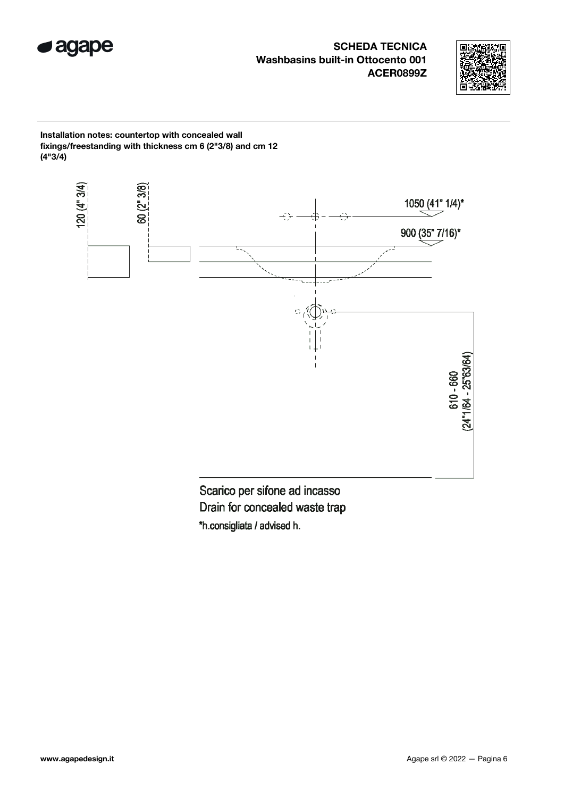![](_page_5_Picture_0.jpeg)

![](_page_5_Picture_2.jpeg)

Installation notes: countertop with concealed wall fixings/freestanding with thickness cm 6 (2"3/8) and cm 12 (4"3/4)

![](_page_5_Figure_4.jpeg)

Scarico per sifone ad incasso Drain for concealed waste trap \*h.consigliata / advised h.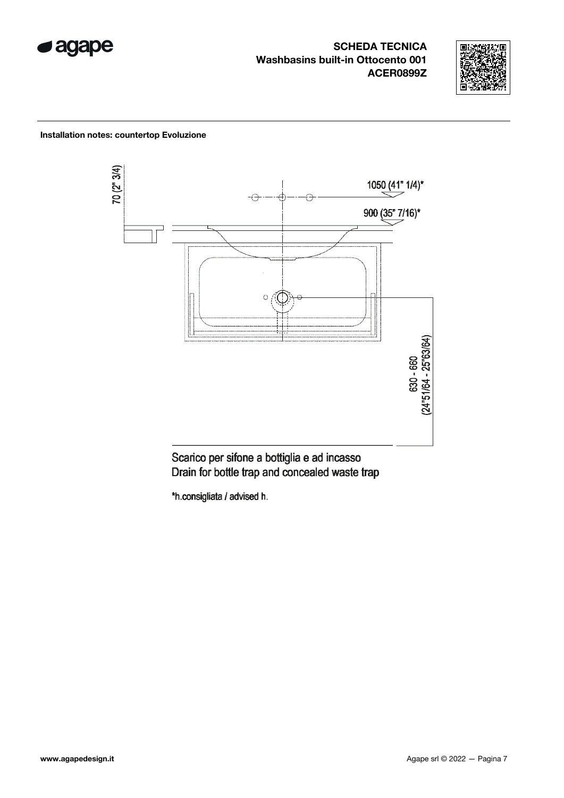![](_page_6_Picture_0.jpeg)

![](_page_6_Picture_2.jpeg)

## Installation notes: countertop Evoluzione

![](_page_6_Figure_4.jpeg)

Scarico per sifone a bottiglia e ad incasso Drain for bottle trap and concealed waste trap

\*h.consigliata / advised h.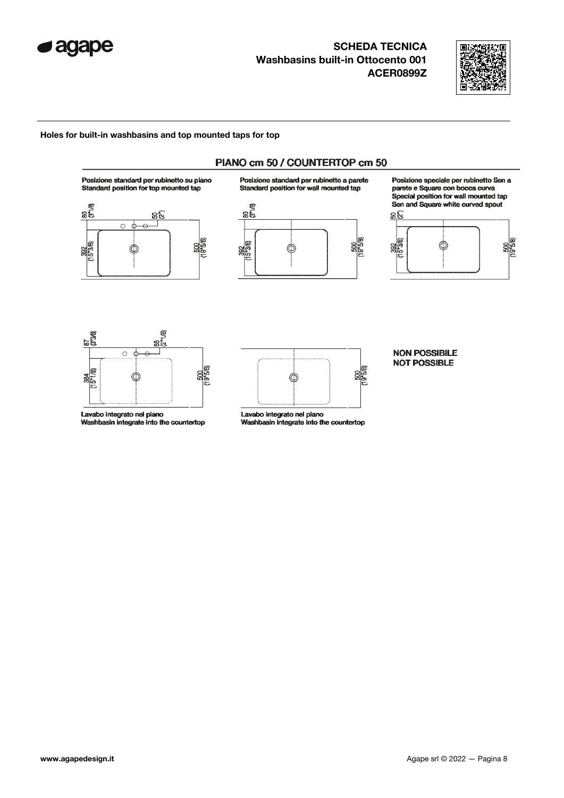![](_page_7_Picture_0.jpeg)

![](_page_7_Picture_2.jpeg)

 $\frac{600}{(19^{8}5/8)}$ 

### Holes for built-in washbasins and top mounted taps for top

![](_page_7_Figure_4.jpeg)

![](_page_7_Figure_5.jpeg)

Lavabo integrato nel piano Washbasin integrate into the countertop

![](_page_7_Figure_7.jpeg)

Lavabo integrato nel piano Washbasin integrate into the countertop

#### **NON POSSIBILE NOT POSSIBLE**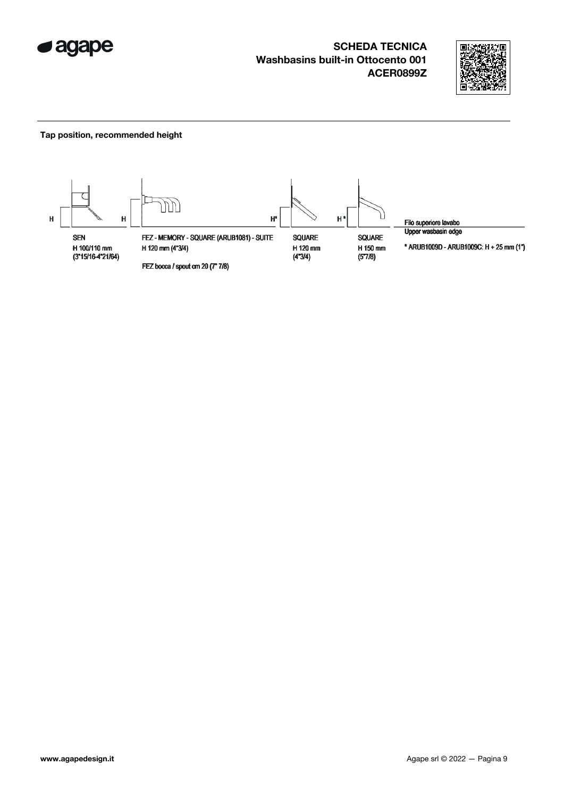![](_page_8_Picture_0.jpeg)

![](_page_8_Picture_2.jpeg)

### Tap position, recommended height

![](_page_8_Figure_4.jpeg)